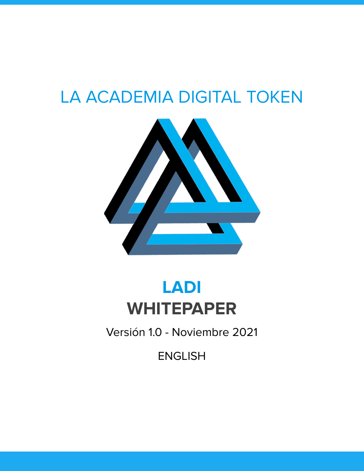# LA ACADEMIA DIGITAL TOKEN



# **LADI WHITEPAPER**

Versión 1.0 - Noviembre 2021

ENGLISH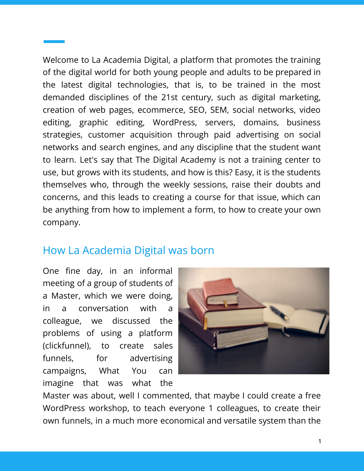Welcome to La Academia Digital, a platform that promotes the training of the digital world for both young people and adults to be prepared in the latest digital technologies, that is, to be trained in the most demanded disciplines of the 21st century, such as digital marketing, creation of web pages, ecommerce, SEO, SEM, social networks, video editing, graphic editing, WordPress, servers, domains, business strategies, customer acquisition through paid advertising on social networks and search engines, and any discipline that the student want to learn. Let's say that The Digital Academy is not a training center to use, but grows with its students, and how is this? Easy, it is the students themselves who, through the weekly sessions, raise their doubts and concerns, and this leads to creating a course for that issue, which can be anything from how to implement a form, to how to create your own company.

#### How La Academia Digital was born

One fine day, in an informal meeting of a group of students of a Master, which we were doing, in a conversation with a colleague, we discussed the problems of using a platform (clickfunnel), to create sales funnels, for advertising campaigns, What You can imagine that was what the



Master was about, well I commented, that maybe I could create a free WordPress workshop, to teach everyone 1 colleagues, to create their own funnels, in a much more economical and versatile system than the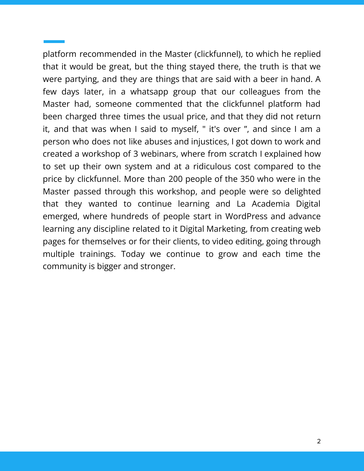platform recommended in the Master (clickfunnel), to which he replied that it would be great, but the thing stayed there, the truth is that we were partying, and they are things that are said with a beer in hand. A few days later, in a whatsapp group that our colleagues from the Master had, someone commented that the clickfunnel platform had been charged three times the usual price, and that they did not return it, and that was when I said to myself, " it's over ", and since I am a person who does not like abuses and injustices, I got down to work and created a workshop of 3 webinars, where from scratch I explained how to set up their own system and at a ridiculous cost compared to the price by clickfunnel. More than 200 people of the 350 who were in the Master passed through this workshop, and people were so delighted that they wanted to continue learning and La Academia Digital emerged, where hundreds of people start in WordPress and advance learning any discipline related to it Digital Marketing, from creating web pages for themselves or for their clients, to video editing, going through multiple trainings. Today we continue to grow and each time the community is bigger and stronger.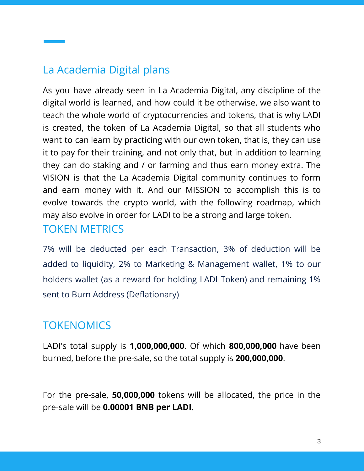## La Academia Digital plans

As you have already seen in La Academia Digital, any discipline of the digital world is learned, and how could it be otherwise, we also want to teach the whole world of cryptocurrencies and tokens, that is why LADI is created, the token of La Academia Digital, so that all students who want to can learn by practicing with our own token, that is, they can use it to pay for their training, and not only that, but in addition to learning they can do staking and / or farming and thus earn money extra. The VISION is that the La Academia Digital community continues to form and earn money with it. And our MISSION to accomplish this is to evolve towards the crypto world, with the following roadmap, which may also evolve in order for LADI to be a strong and large token.

#### TOKEN METRICS

7% will be deducted per each Transaction, 3% of deduction will be added to liquidity, 2% to Marketing & Management wallet, 1% to our holders wallet (as a reward for holding LADI Token) and remaining 1% sent to Burn Address (Deflationary)

# **TOKENOMICS**

LADI's total supply is **1,000,000,000**. Of which **800,000,000** have been burned, before the pre-sale, so the total supply is **200,000,000**.

For the pre-sale, **50,000,000** tokens will be allocated, the price in the pre-sale will be **0.00001 BNB per LADI**.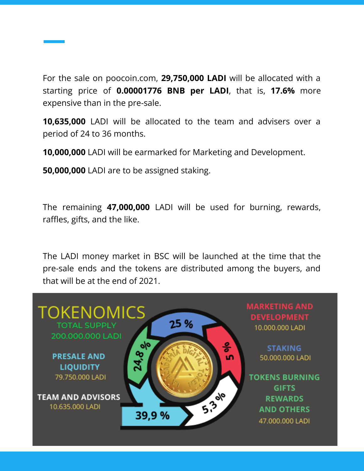For the sale on poocoin.com, **29,750,000 LADI** will be allocated with a starting price of **0.00001776 BNB per LADI**, that is, **17.6%** more expensive than in the pre-sale.

**10,635,000** LADI will be allocated to the team and advisers over a period of 24 to 36 months.

**10,000,000** LADI will be earmarked for Marketing and Development.

**50,000,000** LADI are to be assigned staking.

The remaining **47,000,000** LADI will be used for burning, rewards, raffles, gifts, and the like.

The LADI money market in BSC will be launched at the time that the pre-sale ends and the tokens are distributed among the buyers, and that will be at the end of 2021.

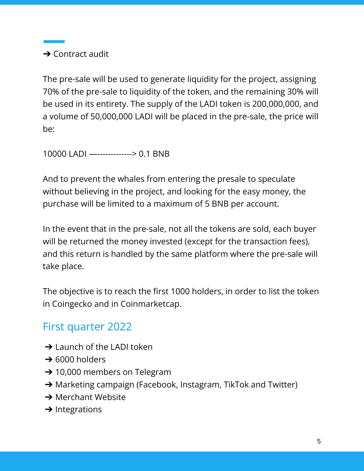$\rightarrow$  Contract audit

The pre-sale will be used to generate liquidity for the project, assigning 70% of the pre-sale to liquidity of the token, and the remaining 30% will be used in its entirety. The supply of the LADI token is 200,000,000, and a volume of 50,000,000 LADI will be placed in the pre-sale, the price will be:

10000 LADI —-------------> 0.1 BNB

And to prevent the whales from entering the presale to speculate without believing in the project, and looking for the easy money, the purchase will be limited to a maximum of 5 BNB per account.

In the event that in the pre-sale, not all the tokens are sold, each buyer will be returned the money invested (except for the transaction fees), and this return is handled by the same platform where the pre-sale will take place.

The objective is to reach the first 1000 holders, in order to list the token in Coingecko and in Coinmarketcap.

# First quarter 2022

- **→** Launch of the LADI token
- $\rightarrow$  6000 holders
- $\rightarrow$  10,000 members on Telegram
- ➔ Marketing campaign (Facebook, Instagram, TikTok and Twitter)
- **→ Merchant Website**
- $\rightarrow$  Integrations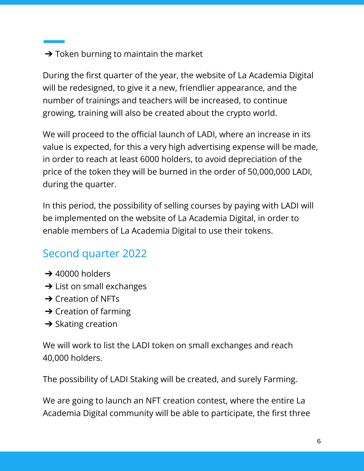#### $\rightarrow$  Token burning to maintain the market

During the first quarter of the year, the website of La Academia Digital will be redesigned, to give it a new, friendlier appearance, and the number of trainings and teachers will be increased, to continue growing, training will also be created about the crypto world.

We will proceed to the official launch of LADI, where an increase in its value is expected, for this a very high advertising expense will be made, in order to reach at least 6000 holders, to avoid depreciation of the price of the token they will be burned in the order of 50,000,000 LADI, during the quarter.

In this period, the possibility of selling courses by paying with LADI will be implemented on the website of La Academia Digital, in order to enable members of La Academia Digital to use their tokens.

# Second quarter 2022

- $\rightarrow$  40000 holders
- $\rightarrow$  List on small exchanges
- $\rightarrow$  Creation of NFTs
- $\rightarrow$  Creation of farming
- $\rightarrow$  Skating creation

We will work to list the LADI token on small exchanges and reach 40,000 holders.

The possibility of LADI Staking will be created, and surely Farming.

We are going to launch an NFT creation contest, where the entire La Academia Digital community will be able to participate, the first three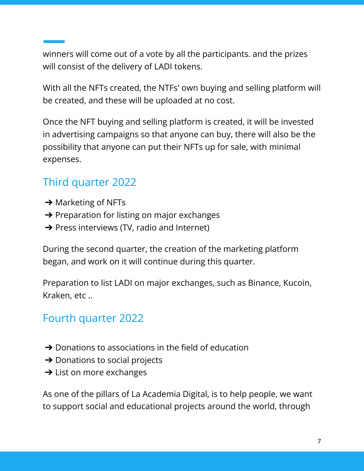winners will come out of a vote by all the participants. and the prizes will consist of the delivery of LADI tokens.

With all the NFTs created, the NTFs' own buying and selling platform will be created, and these will be uploaded at no cost.

Once the NFT buying and selling platform is created, it will be invested in advertising campaigns so that anyone can buy, there will also be the possibility that anyone can put their NFTs up for sale, with minimal expenses.

# Third quarter 2022

- $\rightarrow$  Marketing of NFTs
- $\rightarrow$  Preparation for listing on major exchanges
- **→** Press interviews (TV, radio and Internet)

During the second quarter, the creation of the marketing platform began, and work on it will continue during this quarter.

Preparation to list LADI on major exchanges, such as Binance, Kucoin, Kraken, etc ..

## Fourth quarter 2022

- $\rightarrow$  Donations to associations in the field of education
- $\rightarrow$  Donations to social projects
- $\rightarrow$  List on more exchanges

As one of the pillars of La Academia Digital, is to help people, we want to support social and educational projects around the world, through